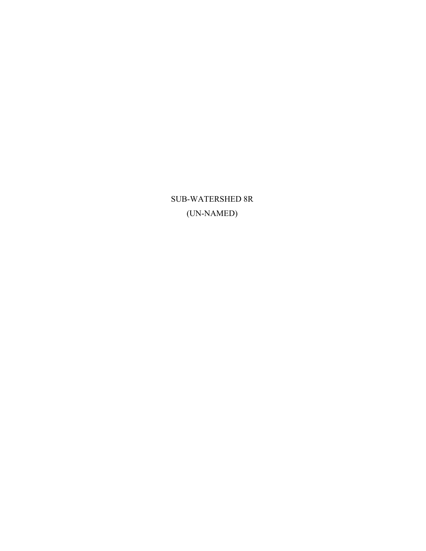SUB-WATERSHED 8R (UN-NAMED)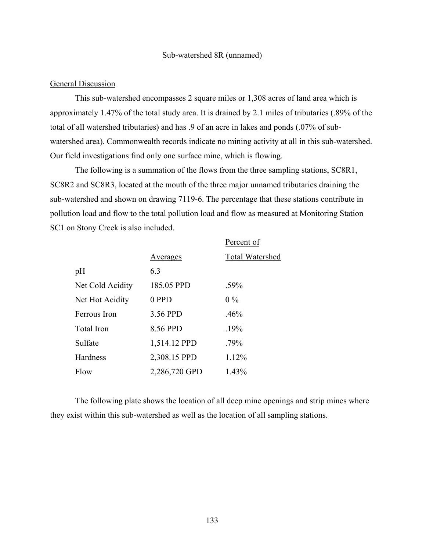## Sub-watershed 8R (unnamed)

# General Discussion

This sub-watershed encompasses 2 square miles or 1,308 acres of land area which is approximately 1.47% of the total study area. It is drained by 2.1 miles of tributaries (.89% of the total of all watershed tributaries) and has .9 of an acre in lakes and ponds (.07% of subwatershed area). Commonwealth records indicate no mining activity at all in this sub-watershed. Our field investigations find only one surface mine, which is flowing.

The following is a summation of the flows from the three sampling stations, SC8R1, SC8R2 and SC8R3, located at the mouth of the three major unnamed tributaries draining the sub-watershed and shown on drawing 7119-6. The percentage that these stations contribute in pollution load and flow to the total pollution load and flow as measured at Monitoring Station SC1 on Stony Creek is also included.

|                   |               | Percent of             |
|-------------------|---------------|------------------------|
|                   | Averages      | <b>Total Watershed</b> |
| pH                | 6.3           |                        |
| Net Cold Acidity  | 185.05 PPD    | .59%                   |
| Net Hot Acidity   | 0 PPD         | $0\%$                  |
| Ferrous Iron      | 3.56 PPD      | .46%                   |
| <b>Total Iron</b> | 8.56 PPD      | .19%                   |
| Sulfate           | 1,514.12 PPD  | .79%                   |
| Hardness          | 2,308.15 PPD  | 1.12%                  |
| Flow              | 2,286,720 GPD | 1.43%                  |

The following plate shows the location of all deep mine openings and strip mines where they exist within this sub-watershed as well as the location of all sampling stations.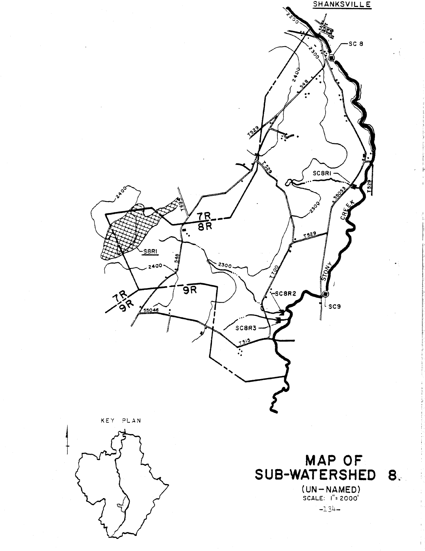

KEY PLAN



MAP OF SUB-WATERSHED 8  $(UN-NAMED)$ <br>scale:  $i^*$ = 2000'

 $-134-$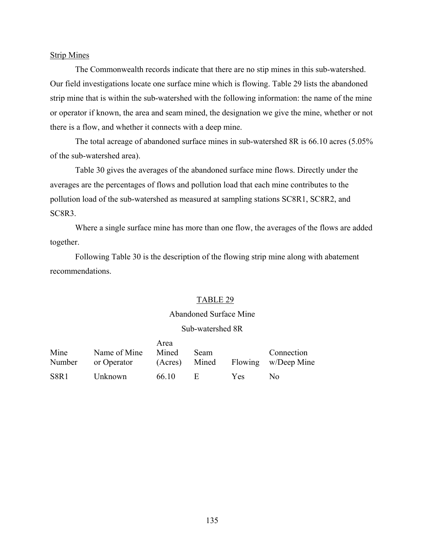# Strip Mines

The Commonwealth records indicate that there are no stip mines in this sub-watershed. Our field investigations locate one surface mine which is flowing. Table 29 lists the abandoned strip mine that is within the sub-watershed with the following information: the name of the mine or operator if known, the area and seam mined, the designation we give the mine, whether or not there is a flow, and whether it connects with a deep mine.

The total acreage of abandoned surface mines in sub-watershed 8R is 66.10 acres (5.05% of the sub-watershed area).

Table 30 gives the averages of the abandoned surface mine flows. Directly under the averages are the percentages of flows and pollution load that each mine contributes to the pollution load of the sub-watershed as measured at sampling stations SC8R1, SC8R2, and SC8R3.

Where a single surface mine has more than one flow, the averages of the flows are added together.

Following Table 30 is the description of the flowing strip mine along with abatement recommendations.

# TABLE 29

# Abandoned Surface Mine

# Sub-watershed 8R

|        |              | Area  |             |      |                                   |
|--------|--------------|-------|-------------|------|-----------------------------------|
| Mine   | Name of Mine | Mined | <b>Seam</b> |      | Connection                        |
| Number | or Operator  |       |             |      | (Acres) Mined Flowing w/Deep Mine |
| S8R1   | Unknown      | 66 10 | - H.        | Yes. | No.                               |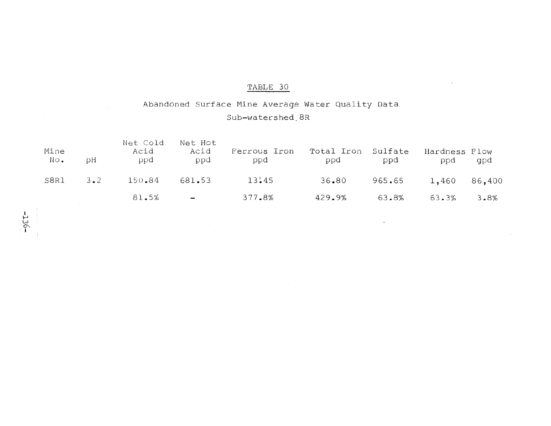# Abandoned Surface Mine Average Water Quality Data

# Sub-watershed 8R

| Mine<br>$\mathbb{N} \circ \bullet$ | рH          | Net Cold<br>Acid<br>ppd | Net Hot<br>Acid<br>ppd   | Ferrous Iron<br>ppd | Total Iron<br>ppd | Sulfate<br>ppd | Hardness Flow<br>ppd | gpd  |
|------------------------------------|-------------|-------------------------|--------------------------|---------------------|-------------------|----------------|----------------------|------|
| S8R1                               | $3 \cdot 2$ | 150.84                  | 681.53                   | 13:45               | 36.80             | 965.65         | 1,460 86,400         |      |
|                                    |             | 81.5%                   | $\overline{\phantom{a}}$ | 377.8%              | 429.9%            | 63.8%          | 63.3%                | 3.8% |

 $-95T$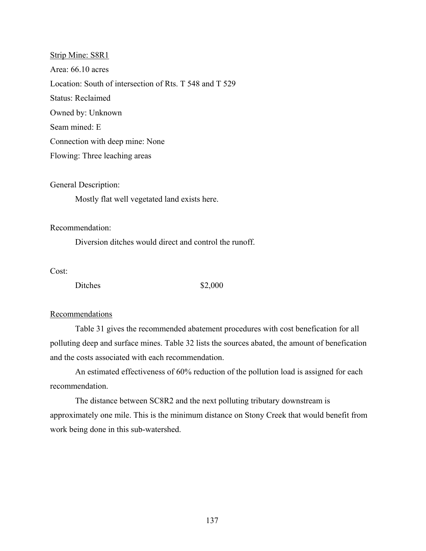Strip Mine: S8R1 Area: 66.10 acres Location: South of intersection of Rts. T 548 and T 529 Status: Reclaimed Owned by: Unknown Seam mined: E Connection with deep mine: None Flowing: Three leaching areas

General Description:

Mostly flat well vegetated land exists here.

Recommendation:

Diversion ditches would direct and control the runoff.

Cost:

Ditches \$2,000

# Recommendations

Table 31 gives the recommended abatement procedures with cost benefication for all polluting deep and surface mines. Table 32 lists the sources abated, the amount of benefication and the costs associated with each recommendation.

An estimated effectiveness of 60% reduction of the pollution load is assigned for each recommendation.

The distance between SC8R2 and the next polluting tributary downstream is approximately one mile. This is the minimum distance on Stony Creek that would benefit from work being done in this sub-watershed.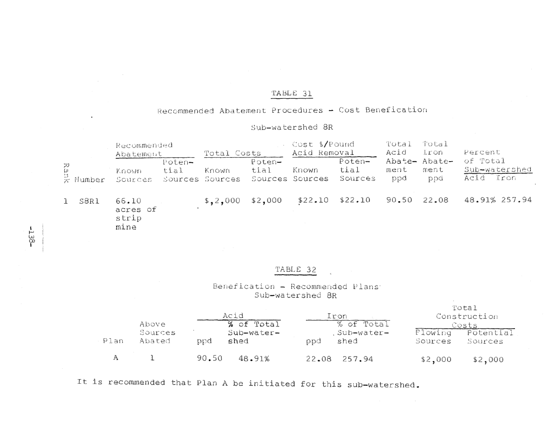# Recommended Abatement Procedures - Cost Benefication

# Sub-watershed 8R

|                             | Recommended<br>Abatement           |                | Total Costs              |                | Cost \$/Pound<br>Acid Removal |                           | Total<br>Acid | Total<br>$l$ ron             | Percent                                   |
|-----------------------------|------------------------------------|----------------|--------------------------|----------------|-------------------------------|---------------------------|---------------|------------------------------|-------------------------------------------|
| Rar<br>$\frac{1}{5}$ Number | Known<br>Sources                   | Poten-<br>tial | Known<br>Sources Sources | Poten-<br>tial | Known<br>Sources Sources      | Poten-<br>tial<br>Sources | ment<br>ppd   | Abate- Abate-<br>ment<br>ppd | of Total<br>Sub-watershed<br>Iron<br>Acid |
| S8R1                        | 66.10<br>acres of<br>strip<br>mine |                | \$.2,000                 | \$2,000        |                               | $$22.10$ $$22.10$         | 90.50 22.08   |                              | 48.91% 257.94                             |

# TABLE 32

# Benefication - Recommended Plans Sub-watershed 8R

|      | Above             | Acid        | % of Total          | Iron<br>% of Total | Total<br>Costs     | Construction         |
|------|-------------------|-------------|---------------------|--------------------|--------------------|----------------------|
| Plan | Sources<br>Abated | shed<br>bod | $Sub-water-$<br>ppd | Sub-water-<br>shed | Flowing<br>Sources | Potential<br>Sources |
| А    |                   | 90.50       | 48.91%              | 22.08 257.94       | \$2,000            | \$2,000              |

It is recommended that Plan A be initiated for this sub-watershed.

 $-138-$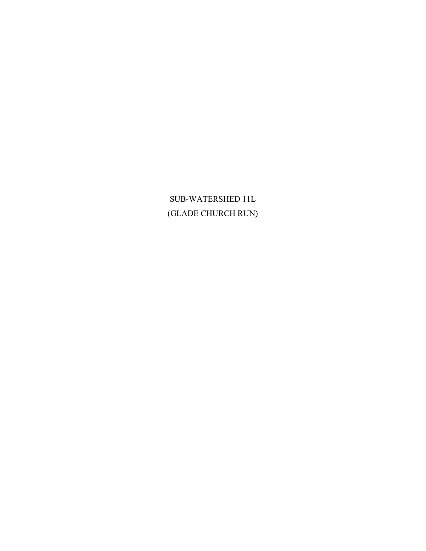# SUB-WATERSHED 11L (GLADE CHURCH RUN)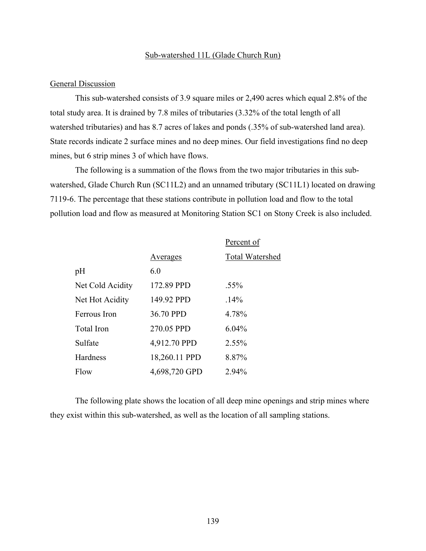# Sub-watershed 11L (Glade Church Run)

# General Discussion

This sub-watershed consists of 3.9 square miles or 2,490 acres which equal 2.8% of the total study area. It is drained by 7.8 miles of tributaries (3.32% of the total length of all watershed tributaries) and has 8.7 acres of lakes and ponds (.35% of sub-watershed land area). State records indicate 2 surface mines and no deep mines. Our field investigations find no deep mines, but 6 strip mines 3 of which have flows.

The following is a summation of the flows from the two major tributaries in this subwatershed, Glade Church Run (SC11L2) and an unnamed tributary (SC11L1) located on drawing 7119-6. The percentage that these stations contribute in pollution load and flow to the total pollution load and flow as measured at Monitoring Station SC1 on Stony Creek is also included.

|                  |               | Percent of             |
|------------------|---------------|------------------------|
|                  | Averages      | <b>Total Watershed</b> |
| pH               | 6.0           |                        |
| Net Cold Acidity | 172.89 PPD    | $.55\%$                |
| Net Hot Acidity  | 149.92 PPD    | .14%                   |
| Ferrous Iron     | 36.70 PPD     | 4.78%                  |
| Total Iron       | 270.05 PPD    | $6.04\%$               |
| Sulfate          | 4,912.70 PPD  | 2.55%                  |
| Hardness         | 18,260.11 PPD | 8.87%                  |
| Flow             | 4,698,720 GPD | 2.94%                  |

The following plate shows the location of all deep mine openings and strip mines where they exist within this sub-watershed, as well as the location of all sampling stations.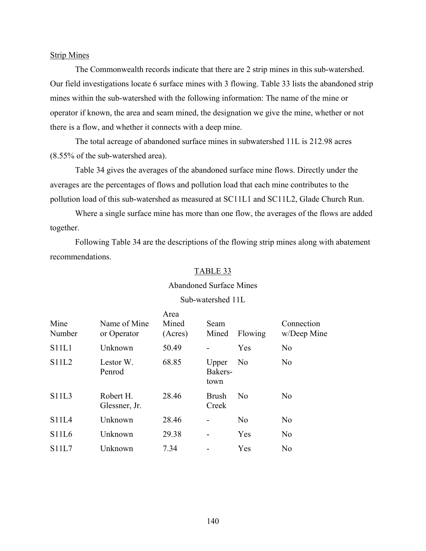# Strip Mines

The Commonwealth records indicate that there are 2 strip mines in this sub-watershed. Our field investigations locate 6 surface mines with 3 flowing. Table 33 lists the abandoned strip mines within the sub-watershed with the following information: The name of the mine or operator if known, the area and seam mined, the designation we give the mine, whether or not there is a flow, and whether it connects with a deep mine.

The total acreage of abandoned surface mines in subwatershed 11L is 212.98 acres (8.55% of the sub-watershed area).

Table 34 gives the averages of the abandoned surface mine flows. Directly under the averages are the percentages of flows and pollution load that each mine contributes to the pollution load of this sub-watershed as measured at SC11L1 and SC11L2, Glade Church Run.

Where a single surface mine has more than one flow, the averages of the flows are added together.

Following Table 34 are the descriptions of the flowing strip mines along with abatement recommendations.

# TABLE 33

### Abandoned Surface Mines

# Sub-watershed 11L

| Mine<br>Number | Name of Mine<br>or Operator | Area<br>Mined<br>(Acres) | Seam<br>Mined            | Flowing        | Connection<br>w/Deep Mine |
|----------------|-----------------------------|--------------------------|--------------------------|----------------|---------------------------|
| S11L1          | Unknown                     | 50.49                    |                          | Yes            | N <sub>0</sub>            |
| <b>S11L2</b>   | Lestor W.<br>Penrod         | 68.85                    | Upper<br>Bakers-<br>town | N <sub>0</sub> | No                        |
| S11L3          | Robert H.<br>Glessner, Jr.  | 28.46                    | <b>Brush</b><br>Creek    | N <sub>0</sub> | N <sub>0</sub>            |
| <b>S11L4</b>   | Unknown                     | 28.46                    | $\blacksquare$           | N <sub>0</sub> | N <sub>0</sub>            |
| S11L6          | Unknown                     | 29.38                    | $\blacksquare$           | Yes            | N <sub>0</sub>            |
| S11L7          | Unknown                     | 7.34                     |                          | Yes            | N <sub>0</sub>            |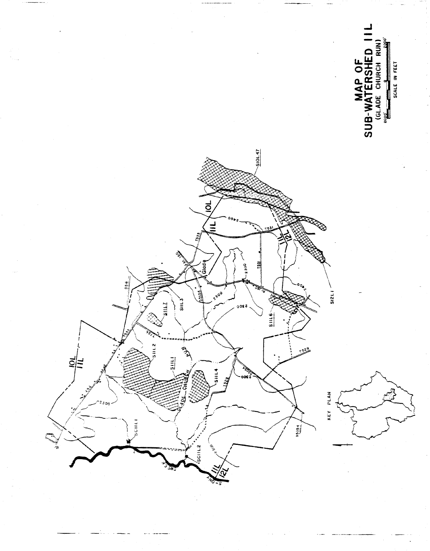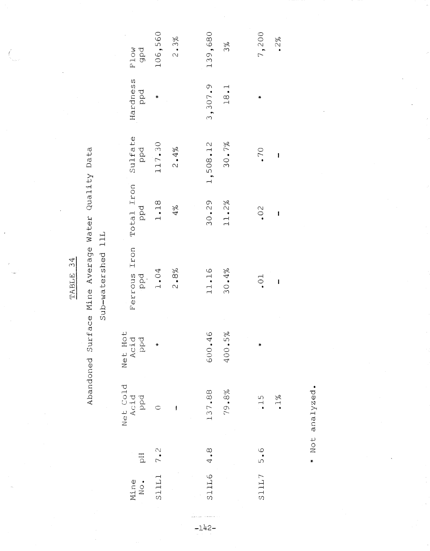$\left(\frac{1}{2}\right)$ 

# Abandoned Surface Mine Average Water Quality Data

Sub-watershed 11L

| F <sub>1</sub> ow<br>gpd            | 106,560     | 2.3%    | 139,680               | 3%         | 7,200 | 2%                      |  |
|-------------------------------------|-------------|---------|-----------------------|------------|-------|-------------------------|--|
| Hardness<br>ppd                     | ¥           |         | 3,307.9               | 18.1       | ∗     |                         |  |
| Sulfate<br>ppd                      | 117.30      | $2.4\%$ | 1,508.12              | 30.7%      | .70   | I                       |  |
| Total Iron<br>ppd                   | 1.18        | $4\%$   | 30.29                 | 11.2%      | .02   | I                       |  |
| Ferrous Iron<br>ppd                 | 1.04        | 2.8%    | 11.16                 | 30.4%      | $-10$ | $\overline{\mathbf{I}}$ |  |
| Net Hot<br>Acid<br>Ppd              | ×           |         | $\frac{6}{5}$<br>600. | 5%<br>400. | ×     |                         |  |
| Net Cold<br>Acid<br>PP <sup>d</sup> |             | j       | 137.88                | 79.8%      | $-15$ | $1\%$                   |  |
| Ed                                  |             |         |                       |            |       |                         |  |
| Mine<br>No.                         | S11L1 $7.2$ |         | S11L6 4.8             |            | 5.5   |                         |  |

 $-142-$ 

\* Not analyzed.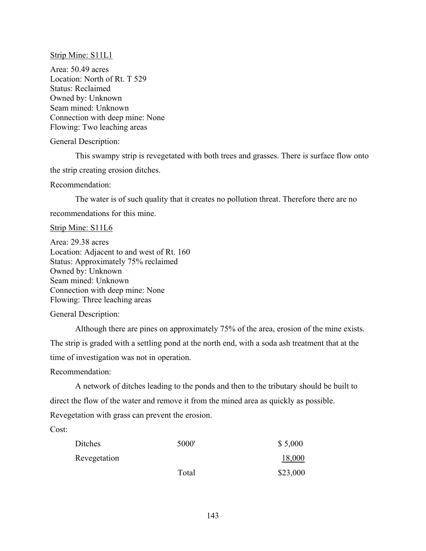Strip Mine: S11L1

Area: 50.49 acres Location: North of Rt. T 529 Status: Reclaimed Owned by: Unknown Seam mined: Unknown Connection with deep mine: None Flowing: Two leaching areas

General Description:

This swampy strip is revegetated with both trees and grasses. There is surface flow onto the strip creating erosion ditches.

Recommendation:

The water is of such quality that it creates no pollution threat. Therefore there are no recommendations for this mine.

Strip Mine: S11L6

Area: 29.38 acres Location: Adjacent to and west of Rt. 160 Status: Approximately 75% reclaimed Owned by: Unknown Seam mined: Unknown Connection with deep mine: None Flowing: Three leaching areas

General Description:

Although there are pines on approximately 75% of the area, erosion of the mine exists. The strip is graded with a settling pond at the north end, with a soda ash treatment that at the time of investigation was not in operation.

Recommendation:

A network of ditches leading to the ponds and then to the tributary should be built to direct the flow of the water and remove it from the mined area as quickly as possible. Revegetation with grass can prevent the erosion.

Cost:

| Ditches      | 5000' | \$5,000  |
|--------------|-------|----------|
| Revegetation |       | 18,000   |
|              | Total | \$23,000 |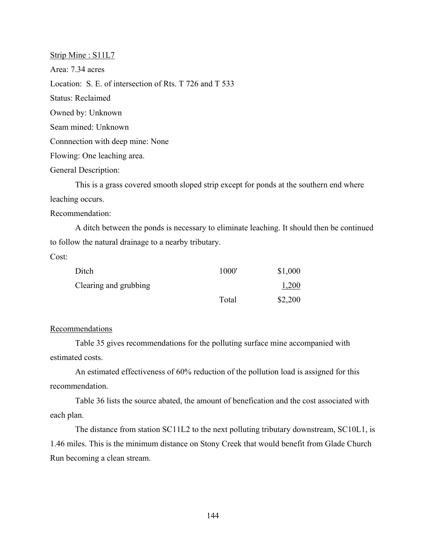Strip Mine : S11L7 Area: 7.34 acres Location: S. E. of intersection of Rts. T 726 and T 533 Status: Reclaimed Owned by: Unknown Seam mined: Unknown Connnection with deep mine: None Flowing: One leaching area.

General Description:

This is a grass covered smooth sloped strip except for ponds at the southern end where leaching occurs.

Recommendation:

A ditch between the ponds is necessary to eliminate leaching. It should then be continued to follow the natural drainage to a nearby tributary.

Cost:

| Ditch                 | 1000' | \$1,000 |
|-----------------------|-------|---------|
| Clearing and grubbing |       | 1,200   |
|                       | Total | \$2,200 |

# **Recommendations**

Table 35 gives recommendations for the polluting surface mine accompanied with estimated costs.

An estimated effectiveness of 60% reduction of the pollution load is assigned for this recommendation.

Table 36 lists the source abated, the amount of benefication and the cost associated with each plan.

The distance from station SC11L2 to the next polluting tributary downstream, SC10L1, is 1.46 miles. This is the minimum distance on Stony Creek that would benefit from Glade Church Run becoming a clean stream.